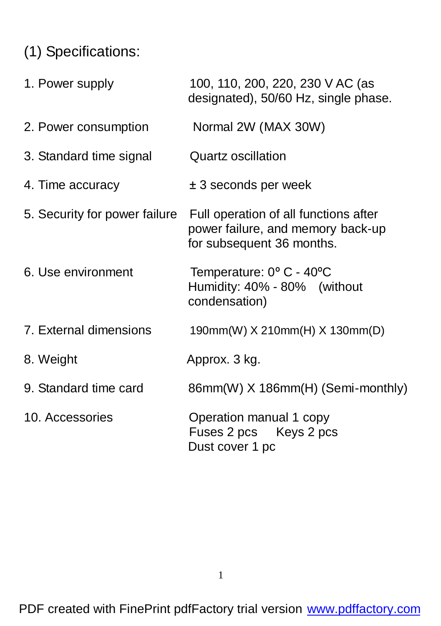# (1) Specifications:

| 1. Power supply               | 100, 110, 200, 220, 230 V AC (as<br>designated), 50/60 Hz, single phase.                                |
|-------------------------------|---------------------------------------------------------------------------------------------------------|
| 2. Power consumption          | Normal 2W (MAX 30W)                                                                                     |
| 3. Standard time signal       | Quartz oscillation                                                                                      |
| 4. Time accuracy              | $± 3$ seconds per week                                                                                  |
| 5. Security for power failure | Full operation of all functions after<br>power failure, and memory back-up<br>for subsequent 36 months. |
| 6. Use environment            | Temperature: 0° C - 40°C<br>Humidity: 40% - 80% (without<br>condensation)                               |
| 7. External dimensions        | 190mm(W) X 210mm(H) X 130mm(D)                                                                          |
| 8. Weight                     | Approx. 3 kg.                                                                                           |
| 9. Standard time card         | 86mm(W) X 186mm(H) (Semi-monthly)                                                                       |
| 10. Accessories               | Operation manual 1 copy<br>Fuses 2 pcs Keys 2 pcs<br>Dust cover 1 pc                                    |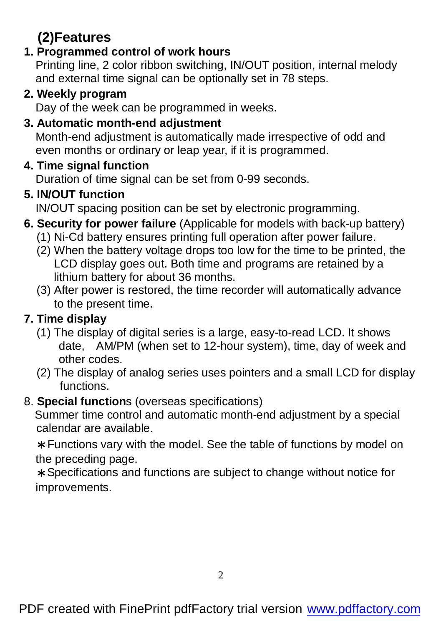# **(2)Features**

#### **1. Programmed control of work hours**

 Printing line, 2 color ribbon switching, IN/OUT position, internal melody and external time signal can be optionally set in 78 steps.

#### **2. Weekly program**

Day of the week can be programmed in weeks.

### **3. Automatic month-end adjustment**

Month-end adjustment is automatically made irrespective of odd and even months or ordinary or leap year, if it is programmed.

#### **4. Time signal function**

Duration of time signal can be set from 0-99 seconds.

## **5. IN/OUT function**

IN/OUT spacing position can be set by electronic programming.

- **6. Security for power failure** (Applicable for models with back-up battery)
	- (1) Ni-Cd battery ensures printing full operation after power failure.
	- (2) When the battery voltage drops too low for the time to be printed, the LCD display goes out. Both time and programs are retained by a lithium battery for about 36 months.
	- (3) After power is restored, the time recorder will automatically advance to the present time.

## **7. Time display**

- (1) The display of digital series is a large, easy-to-read LCD. It shows date, AM/PM (when set to 12-hour system), time, day of week and other codes.
- (2) The display of analog series uses pointers and a small LCD for display functions.

#### 8. **Special function**s (overseas specifications)

 Summer time control and automatic month-end adjustment by a special calendar are available.

\*Functions vary with the model. See the table of functions by model on the preceding page.

\*Specifications and functions are subject to change without notice for improvements.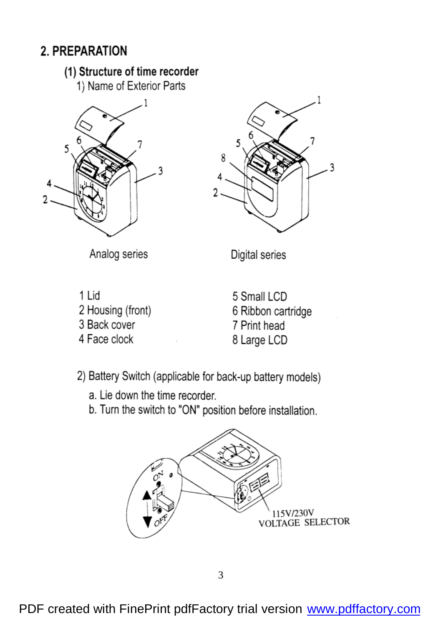## 2. PREPARATION

#### (1) Structure of time recorder

1) Name of Exterior Parts





Analog series

1 Lid 2 Housing (front) 3 Back cover

4 Face clock

Digital series

5 Small LCD 6 Ribbon cartridge 7 Print head 8 Large LCD

2) Battery Switch (applicable for back-up battery models)

a. Lie down the time recorder.

b. Turn the switch to "ON" position before installation.

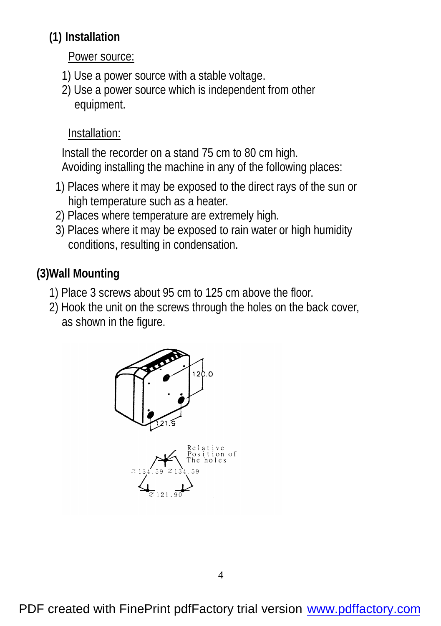## **(1) Installation**

Power source:

- 1) Use a power source with a stable voltage.
- 2) Use a power source which is independent from other equipment.

## Installation:

 Install the recorder on a stand 75 cm to 80 cm high. Avoiding installing the machine in any of the following places:

- 1) Places where it may be exposed to the direct rays of the sun or high temperature such as a heater.
- 2) Places where temperature are extremely high.
- 3) Places where it may be exposed to rain water or high humidity conditions, resulting in condensation.

# **(3)Wall Mounting**

- 1) Place 3 screws about 95 cm to 125 cm above the floor.
- 2) Hook the unit on the screws through the holes on the back cover, as shown in the figure.

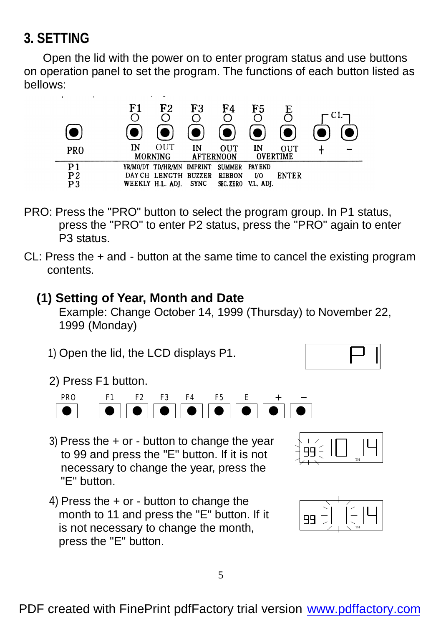# **3. SETTING**

 Open the lid with the power on to enter program status and use buttons on operation panel to set the program. The functions of each button listed as bellows:



- PRO: Press the "PRO" button to select the program group. In P1 status, press the "PRO" to enter P2 status, press the "PRO" again to enter P3 status.
- CL: Press the + and button at the same time to cancel the existing program contents.

#### **(1) Setting of Year, Month and Date**

Example: Change October 14, 1999 (Thursday) to November 22, 1999 (Monday)

1) Open the lid, the LCD displays P1.



2) Press F1 button.



- 3) Press the + or button to change the year to 99 and press the "E" button. If it is not necessary to change the year, press the "E" button.
- 4) Press the + or button to change the month to 11 and press the "E" button. If it is not necessary to change the month, press the "E" button.



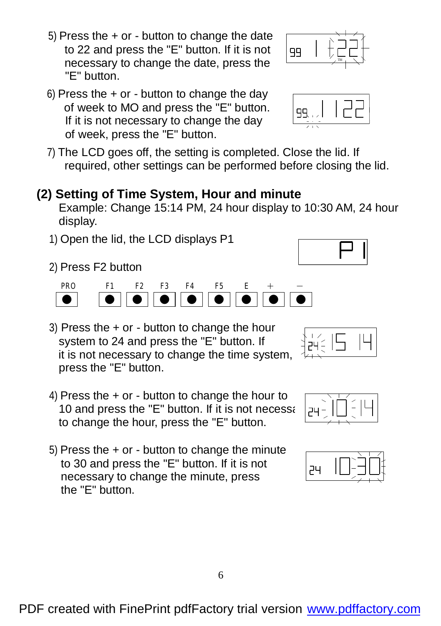- 5) Press the  $+$  or  $-$  button to change the date to 22 and press the "E" button. If it is not necessary to change the date, press the "E" button.
- 6) Press the  $+$  or button to change the day of week to MO and press the "E" button. If it is not necessary to change the day of week, press the "E" button.
- 7) The LCD goes off, the setting is completed. Close the lid. If required, other settings can be performed before closing the lid.

## **(2) Setting of Time System, Hour and minute**

Example: Change 15:14 PM, 24 hour display to 10:30 AM, 24 hour display.

- 1) Open the lid, the LCD displays P1
- 2) Press F2 button



- 3) Press the + or button to change the hour system to 24 and press the "E" button. If it is not necessary to change the time system, press the "E" button.
- 4) Press the  $+$  or button to change the hour to 10 and press the "E" button. If it is not necessall  $p+q$ to change the hour, press the "E" button.
- 5) Press the  $+$  or button to change the minute to 30 and press the "E" button. If it is not necessary to change the minute, press the "E" button.



ÊÝÉ.









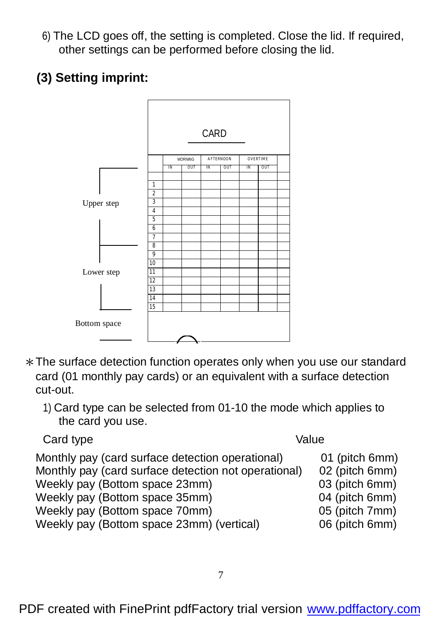- 6) The LCD goes off, the setting is completed. Close the lid. If required, other settings can be performed before closing the lid.
- **(3) Setting imprint:**



- \*The surface detection function operates only when you use our standard card (01 monthly pay cards) or an equivalent with a surface detection cut-out.
	- 1) Card type can be selected from 01-10 the mode which applies to the card you use.

Card type Value

Monthly pay (card surface detection operational) 01 (pitch 6mm) Monthly pay (card surface detection not operational) 02 (pitch 6mm) Weekly pay (Bottom space 23mm) 03 (pitch 6mm) Weekly pay (Bottom space 35mm) 04 (pitch 6mm) Weekly pay (Bottom space 70mm) 05 (pitch 7mm) Weekly pay (Bottom space 23mm) (vertical) 06 (pitch 6mm)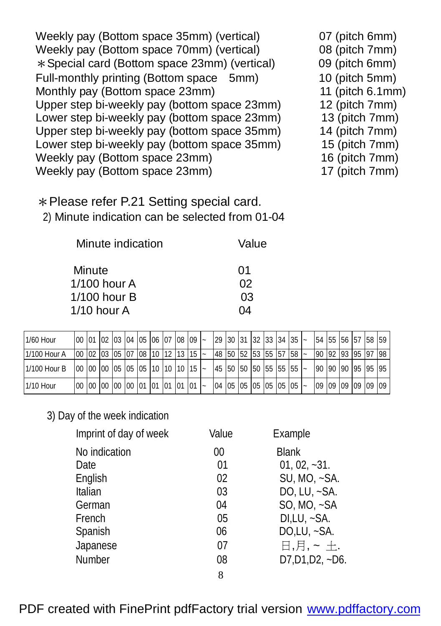Weekly pay (Bottom space 35mm) (vertical) 07 (pitch 6mm) Weekly pay (Bottom space 70mm) (vertical) 08 (pitch 7mm) \*Special card (Bottom space 23mm) (vertical) 09 (pitch 6mm) Full-monthly printing (Bottom space 5mm) 10 (pitch 5mm) Monthly pay (Bottom space 23mm) 11 (pitch 6.1mm) Upper step bi-weekly pay (bottom space 23mm) 12 (pitch 7mm)<br>Lower step bi-weekly pay (bottom space 23mm) 13 (pitch 7mm) Lower step bi-weekly pay (bottom space 23mm) Upper step bi-weekly pay (bottom space 35mm) 14 (pitch 7mm) Lower step bi-weekly pay (bottom space 35mm) 15 (pitch 7mm) Weekly pay (Bottom space 23mm) 16 (pitch 7mm) Weekly pay (Bottom space 23mm) 17 (pitch 7mm)

\*Please refer P.21 Setting special card. 2) Minute indication can be selected from 01-04

| Minute indication | Value |
|-------------------|-------|
| Minute            | 01    |
| $1/100$ hour A    | 02    |
| $1/100$ hour B    | 03    |
| $1/10$ hour A     | 04    |

| 1/60 Hour    |  | <u>  100    101    103    104    105    106    107    108    109    20    30    31    32    33    34    35    20</u>    |  |  |  |  |  |                                                   |  |  |  | 54 55 56 57 58 59    |  |
|--------------|--|-------------------------------------------------------------------------------------------------------------------------|--|--|--|--|--|---------------------------------------------------|--|--|--|----------------------|--|
| 1/100 Hour A |  | $\vert$ 00 $\vert$ 02 $\vert$ 03 $\vert$ 05 $\vert$ 07 $\vert$ 08 $\vert$ 10 $\vert$ 12 $\vert$ 13 $\vert$ 15 $\vert$ ~ |  |  |  |  |  | 48   50   52   53   55   57   58   ~              |  |  |  | 90 92 93 95 97 98    |  |
| 1/100 Hour B |  | $\vert$ 00 $\vert$ 00 $\vert$ 00 $\vert$ 05 $\vert$ 05 $\vert$ 05 $\vert$ 10 $\vert$ 10 $\vert$ 10 $\vert$ 15 $\vert$ ~ |  |  |  |  |  | 45 50 50 50 55 55 55 -                            |  |  |  | 90 90 90 95 95 95    |  |
| 1/10 Hour    |  | 00 00 00 00 00 01 01 01 01 01                                                                                           |  |  |  |  |  | $\vert$ 04   05   05   05   05   05   05   $\sim$ |  |  |  | 09 09 09 09 09 09 09 |  |

#### 3) Day of the week indication

| Imprint of day of week | Value | Example            |
|------------------------|-------|--------------------|
| No indication          | 00    | <b>Blank</b>       |
| Date                   | 01    | $01, 02, -31.$     |
| English                | 02    | SU, MO, ~SA.       |
| Italian                | 03    | DO, LU, $\sim$ SA. |
| German                 | 04    | $SO$ , MO, $-SA$   |
| French                 | 05    | $DI, LU, -SA.$     |
| Spanish                | 06    | $DO, LU, -SA.$     |
| Japanese               | 07    | 日,月,~土.            |
| Number                 | 08    | $D7, D1, D2, -D6.$ |
|                        | 8     |                    |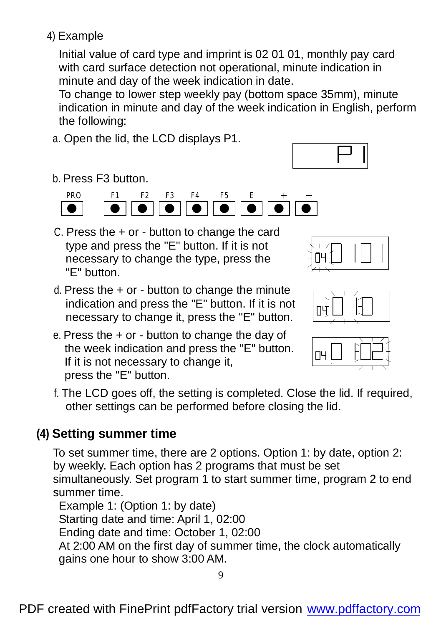## 4) Example

 Initial value of card type and imprint is 02 01 01, monthly pay card with card surface detection not operational, minute indication in minute and day of the week indication in date.

To change to lower step weekly pay (bottom space 35mm), minute indication in minute and day of the week indication in English, perform the following:

a. Open the lid, the LCD displays P1.



b. Press F3 button.



C. Press the + or - button to change the card type and press the "E" button. If it is not necessary to change the type, press the "E" button.



- d. Press the + or button to change the minute indication and press the "E" button. If it is not necessary to change it, press the "E" button.
- e. Press the  $+$  or  $-$  button to change the day of the week indication and press the "E" button. If it is not necessary to change it, press the "E" button.





f. The LCD goes off, the setting is completed. Close the lid. If required, other settings can be performed before closing the lid.

## **(4) Setting summer time**

To set summer time, there are 2 options. Option 1: by date, option 2: by weekly. Each option has 2 programs that must be set simultaneously. Set program 1 to start summer time, program 2 to end summer time.

Example 1: (Option 1: by date) Starting date and time: April 1, 02:00 Ending date and time: October 1, 02:00 At 2:00 AM on the first day of summer time, the clock automatically gains one hour to show 3:00 AM.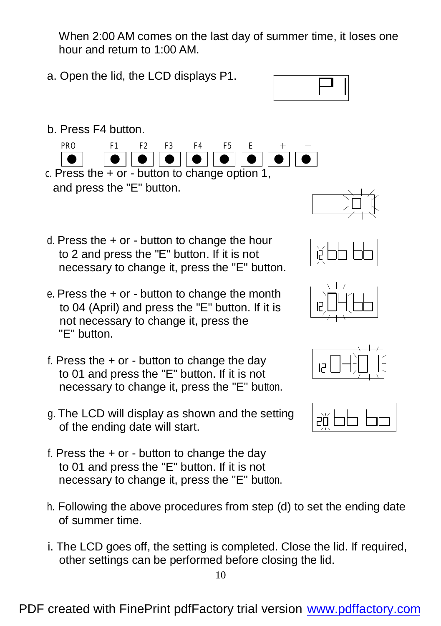When 2:00 AM comes on the last day of summer time, it loses one hour and return to 1:00 AM.

a. Open the lid, the LCD displays P1.



b. Press F4 button.



- $c.$  Press the  $+$  or  $-$  button to change option 1, and press the "E" button.
- d. Press the  $+$  or  $-$  button to change the hour to 2 and press the "E" button. If it is not necessary to change it, press the "E" button.
- e. Press the  $+$  or  $-$  button to change the month to 04 (April) and press the "E" button. If it is not necessary to change it, press the "E" button.
- f. Press the  $+$  or  $-$  button to change the day to 01 and press the "E" button. If it is not necessary to change it, press the "E" button.
- g. The LCD will display as shown and the setting of the ending date will start.
- f. Press the  $+$  or  $-$  button to change the day to 01 and press the "E" button. If it is not necessary to change it, press the "E" button.
- h. Following the above procedures from step (d) to set the ending date of summer time.
- i. The LCD goes off, the setting is completed. Close the lid. If required, other settings can be performed before closing the lid.









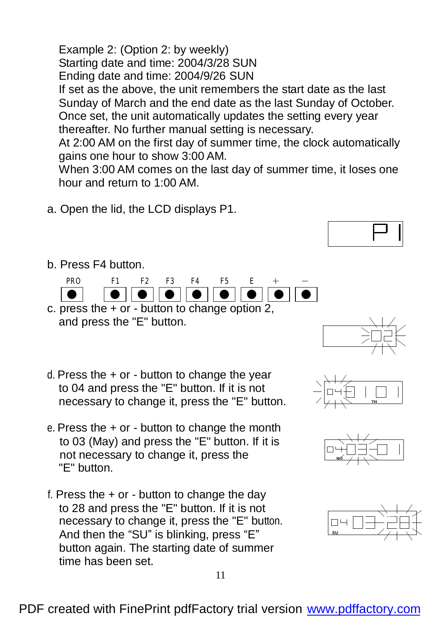Example 2: (Option 2: by weekly) Starting date and time: 2004/3/28 SUN Ending date and time: 2004/9/26 SUN If set as the above, the unit remembers the start date as the last Sunday of March and the end date as the last Sunday of October. Once set, the unit automatically updates the setting every year thereafter. No further manual setting is necessary.

At 2:00 AM on the first day of summer time, the clock automatically gains one hour to show 3:00 AM.

When 3:00 AM comes on the last day of summer time, it loses one hour and return to 1:00 AM.

a. Open the lid, the LCD displays P1.



b. Press F4 button.



- c. press the  $+$  or  $-$  button to change option 2, and press the "E" button.
- d. Press the + or button to change the year to 04 and press the "E" button. If it is not necessary to change it, press the "E" button.
- e. Press the  $+$  or  $-$  button to change the month to 03 (May) and press the "E" button. If it is not necessary to change it, press the "E" button.
- f. Press the  $+$  or  $-$  button to change the day to 28 and press the "E" button. If it is not necessary to change it, press the "E" button. And then the "SU" is blinking, press "E" button again. The starting date of summer time has been set.







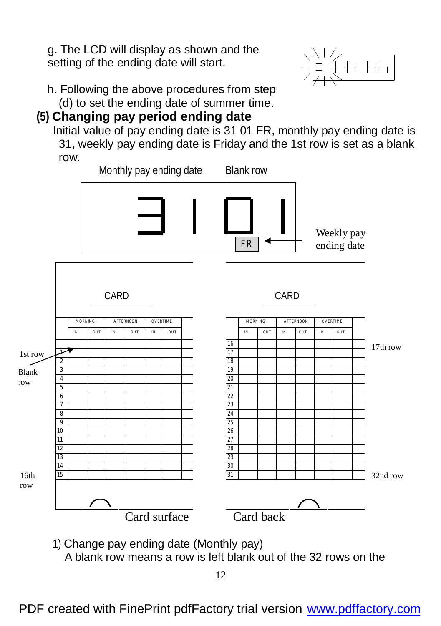g. The LCD will display as shown and the setting of the ending date will start.



h. Following the above procedures from step

(d) to set the ending date of summer time.

## **(5) Changing pay period ending date**

 Initial value of pay ending date is 31 01 FR, monthly pay ending date is 31, weekly pay ending date is Friday and the 1st row is set as a blank row.



1) Change pay ending date (Monthly pay)

A blank row means a row is left blank out of the 32 rows on the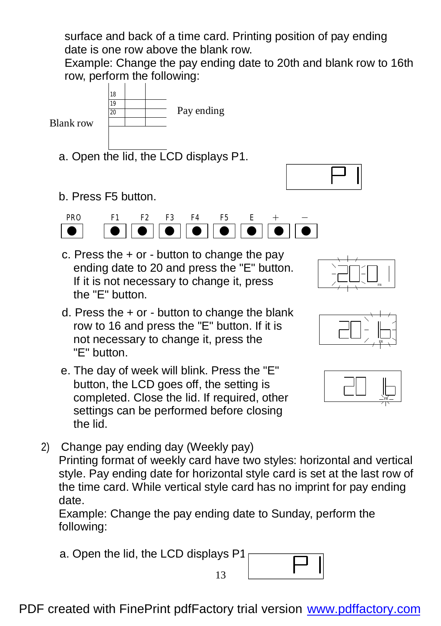surface and back of a time card. Printing position of pay ending date is one row above the blank row.

 Example: Change the pay ending date to 20th and blank row to 16th row, perform the following:



Blank row

- a. Open the lid, the LCD displays P1.
- b. Press F5 button.



- c. Press the  $+$  or  $-$  button to change the pay ending date to 20 and press the "E" button. If it is not necessary to change it, press the "E" button.
- d. Press the  $+$  or  $-$  button to change the blank row to 16 and press the "E" button. If it is not necessary to change it, press the "E" button.
- e. The day of week will blink. Press the "E" button, the LCD goes off, the setting is completed. Close the lid. If required, other settings can be performed before closing the lid.
- 2) Change pay ending day (Weekly pay) Printing format of weekly card have two styles: horizontal and vertical style. Pay ending date for horizontal style card is set at the last row of the time card. While vertical style card has no imprint for pay ending date.

 Example: Change the pay ending date to Sunday, perform the following:

a. Open the lid, the LCD displays P1.





FR



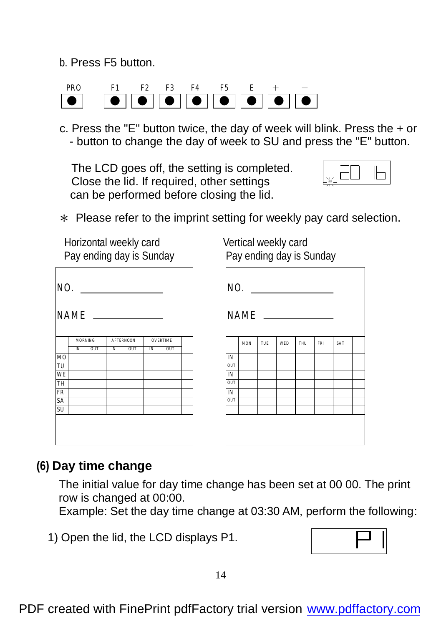b. Press F5 button.



c. Press the "E" button twice, the day of week will blink. Press the + or - button to change the day of week to SU and press the "E" button.

The LCD goes off, the setting is completed. Close the lid. If required, other settings can be performed before closing the lid.



\* Please refer to the imprint setting for weekly pay card selection.

Horizontal weekly card Vertical weekly card

| NO.         |    |                |    |                                     |    |     |  | N                      |
|-------------|----|----------------|----|-------------------------------------|----|-----|--|------------------------|
| <b>NAME</b> |    |                |    |                                     |    |     |  | N.                     |
|             |    | <b>MORNING</b> |    | <b>OVERTIME</b><br><b>AFTERNOON</b> |    |     |  |                        |
|             | IN | our            | IN | OUT                                 | IN | out |  |                        |
| MO          |    |                |    |                                     |    |     |  | IN                     |
| TU          |    |                |    |                                     |    |     |  | OUT                    |
| WE          |    |                |    |                                     |    |     |  | $\overline{\text{IN}}$ |
| TH          |    |                |    |                                     |    |     |  | OUT                    |
| FR          |    |                |    |                                     |    |     |  | IN                     |
| SA          |    |                |    |                                     |    |     |  | OUT                    |
| <b>SU</b>   |    |                |    |                                     |    |     |  |                        |
|             |    |                |    |                                     |    |     |  |                        |

Pay ending day is Sunday Pay ending day is Sunday

| NO.<br>NAME <sub>-</sub> |            |     |            |     |     |     |  |  |  |  |
|--------------------------|------------|-----|------------|-----|-----|-----|--|--|--|--|
|                          | <b>MON</b> | TUE | <b>WED</b> | THU | FRI | SAT |  |  |  |  |
| IN                       |            |     |            |     |     |     |  |  |  |  |
| <b>OUT</b>               |            |     |            |     |     |     |  |  |  |  |
| IN                       |            |     |            |     |     |     |  |  |  |  |
| OUT                      |            |     |            |     |     |     |  |  |  |  |
| IN                       |            |     |            |     |     |     |  |  |  |  |
| OUT                      |            |     |            |     |     |     |  |  |  |  |
|                          |            |     |            |     |     |     |  |  |  |  |
|                          |            |     |            |     |     |     |  |  |  |  |

# **(6) Day time change**

The initial value for day time change has been set at 00 00. The print row is changed at 00:00.

Example: Set the day time change at 03:30 AM, perform the following:

1) Open the lid, the LCD displays P1.

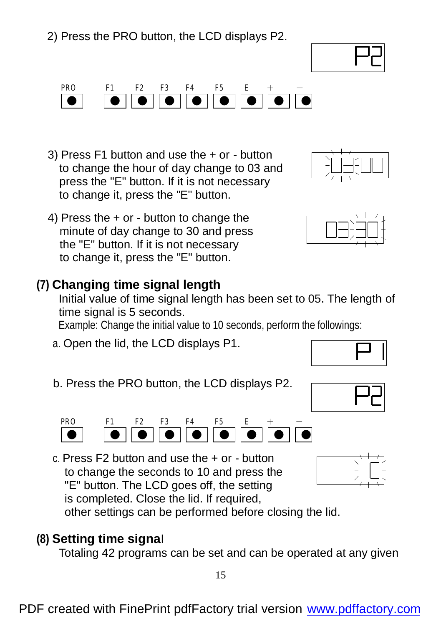2) Press the PRO button, the LCD displays P2.

PRO F1 F2 F3 F4 F5 E + -● ● ● ● ● ● ● ● ●

3) Press F1 button and use the + or - button to change the hour of day change to 03 and press the "E" button. If it is not necessary to change it, press the "E" button.

4) Press the + or - button to change the minute of day change to 30 and press the "E" button. If it is not necessary to change it, press the "E" button.

## **(7) Changing time signal length**

Initial value of time signal length has been set to 05. The length of time signal is 5 seconds.

Example: Change the initial value to 10 seconds, perform the followings:

- a. Open the lid, the LCD displays P1.
- b. Press the PRO button, the LCD displays P2.

PRO F1 F2 F3 F4 F5 E + -● ● ● ● ● ● ● ● ●

 c. Press F2 button and use the + or - button to change the seconds to 10 and press the "E" button. The LCD goes off, the setting

 is completed. Close the lid. If required, other settings can be performed before closing the lid.

#### **(8) Setting time signa**l

Totaling 42 programs can be set and can be operated at any given











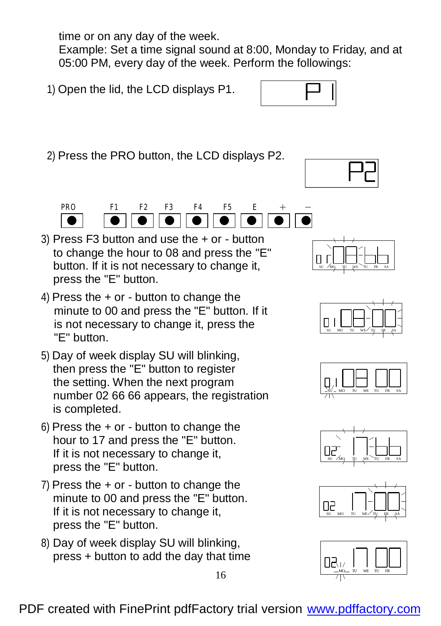time or on any day of the week.

Example: Set a time signal sound at 8:00, Monday to Friday, and at 05:00 PM, every day of the week. Perform the followings:

1) Open the lid, the LCD displays P1.

2) Press the PRO button, the LCD displays P2.



- 3) Press F3 button and use the + or button to change the hour to 08 and press the "E" button. If it is not necessary to change it, press the "E" button.
- 4) Press the + or button to change the minute to 00 and press the "E" button. If it is not necessary to change it, press the "E" button.
- 5) Day of week display SU will blinking, then press the "E" button to register the setting. When the next program number 02 66 66 appears, the registration is completed.
- 6) Press the  $+$  or  $-$  button to change the hour to 17 and press the "E" button. If it is not necessary to change it, press the "E" button.
- 7) Press the + or button to change the minute to 00 and press the "E" button. If it is not necessary to change it, press the "E" button.
- 8) Day of week display SU will blinking, press + button to add the day that time











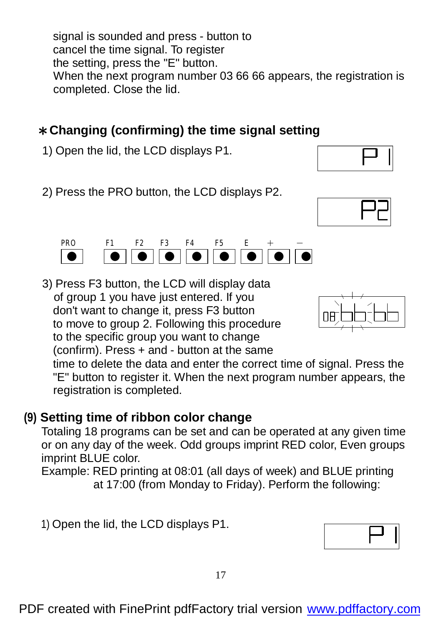signal is sounded and press - button to cancel the time signal. To register the setting, press the "E" button. When the next program number 03 66 66 appears, the registration is completed. Close the lid.

# \***Changing (confirming) the time signal setting**

1) Open the lid, the LCD displays P1.

2) Press the PRO button, the LCD displays P2.

PRO F1 F2 F3 F4 F5 E + -● ● ● ● ● ● ● ● ●

3) Press F3 button, the LCD will display data of group 1 you have just entered. If you don't want to change it, press F3 button to move to group 2. Following this procedure to the specific group you want to change (confirm). Press + and - button at the same

time to delete the data and enter the correct time of signal. Press the "E" button to register it. When the next program number appears, the registration is completed.

# **(9) Setting time of ribbon color change**

 Totaling 18 programs can be set and can be operated at any given time or on any day of the week. Odd groups imprint RED color, Even groups imprint BLUE color.

 Example: RED printing at 08:01 (all days of week) and BLUE printing at 17:00 (from Monday to Friday). Perform the following:

1) Open the lid, the LCD displays P1.





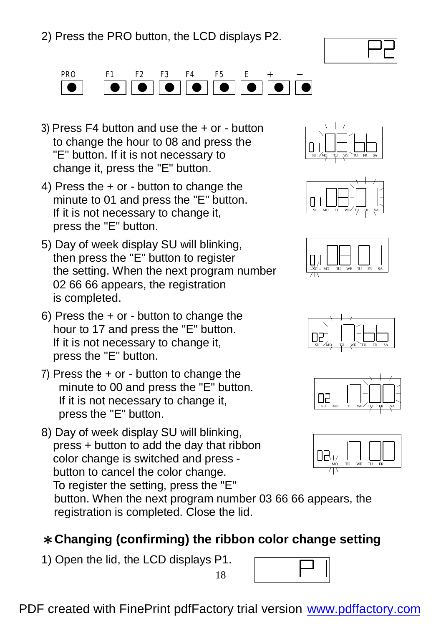



- 3) Press F4 button and use the + or button to change the hour to 08 and press the "E" button. If it is not necessary to change it, press the "E" button.
- 4) Press the + or button to change the minute to 01 and press the "E" button. If it is not necessary to change it, press the "E" button.
- 5) Day of week display SU will blinking, then press the "E" button to register the setting. When the next program number 02 66 66 appears, the registration is completed.
- 6) Press the + or button to change the hour to 17 and press the "E" button. If it is not necessary to change it, press the "E" button.
- 7) Press the + or button to change the minute to 00 and press the "E" button. If it is not necessary to change it, press the "E" button.
- 8) Day of week display SU will blinking, press + button to add the day that ribbon color change is switched and press button to cancel the color change. To register the setting, press the "E" button. When the next program number 03 66 66 appears, the

registration is completed. Close the lid.

#### \***Changing (confirming) the ribbon color change setting**

18

1) Open the lid, the LCD displays P1.













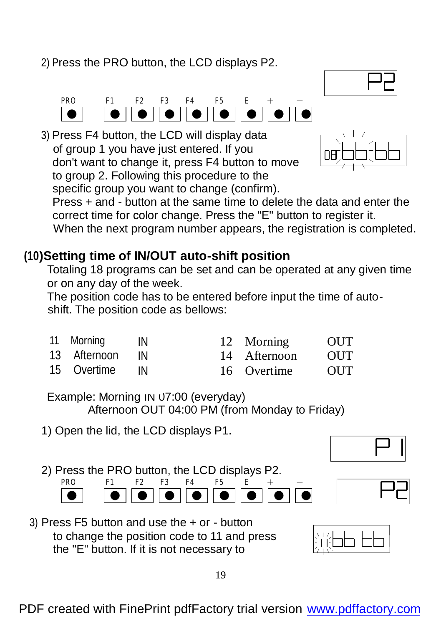2) Press the PRO button, the LCD displays P2.



 3) Press F4 button, the LCD will display data of group 1 you have just entered. If you don't want to change it, press F4 button to move to group 2. Following this procedure to the specific group you want to change (confirm).



Press + and - button at the same time to delete the data and enter the correct time for color change. Press the "E" button to register it. When the next program number appears, the registration is completed.

## **(10)Setting time of IN/OUT auto-shift position**

 Totaling 18 programs can be set and can be operated at any given time or on any day of the week.

 The position code has to be entered before input the time of autoshift. The position code as bellows:

| 11 Morning IN  |           | 12 Morning   | <b>OUT</b> |
|----------------|-----------|--------------|------------|
| 13 Afternoon   | <b>IN</b> | 14 Afternoon | <b>OUT</b> |
| 15 Overtime IN |           | 16 Overtime  | OUT        |

Example: Morning IN 07:00 (everyday) Afternoon OUT 04:00 PM (from Monday to Friday)

- 1) Open the lid, the LCD displays P1.
- 2) Press the PRO button, the LCD displays P2.



3) Press F5 button and use the + or - button to change the position code to 11 and press the "E" button. If it is not necessary to





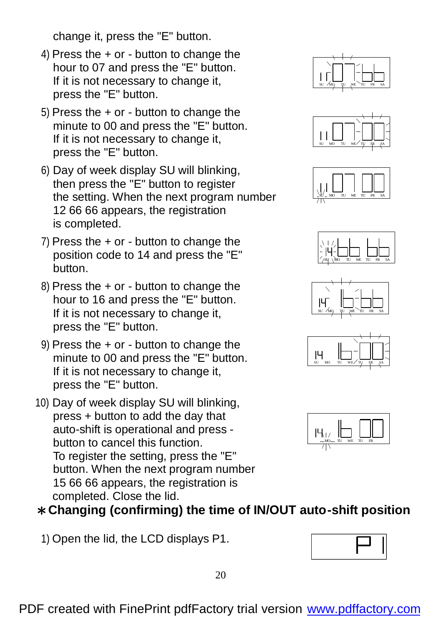change it, press the "E" button.

- 4) Press the + or button to change the hour to 07 and press the "E" button. If it is not necessary to change it, press the "E" button.
- 5) Press the + or button to change the minute to 00 and press the "E" button. If it is not necessary to change it, press the "E" button.
- 6) Day of week display SU will blinking, then press the "E" button to register the setting. When the next program number 12 66 66 appears, the registration is completed.
- 7) Press the + or button to change the position code to 14 and press the "E" button.
- 8) Press the + or button to change the hour to 16 and press the "E" button. If it is not necessary to change it, press the "E" button.
- 9) Press the + or button to change the minute to 00 and press the "E" button. If it is not necessary to change it, press the "E" button.
- 10) Day of week display SU will blinking, press + button to add the day that auto-shift is operational and press button to cancel this function. To register the setting, press the "E" button. When the next program number 15 66 66 appears, the registration is completed. Close the lid.















#### \***Changing (confirming) the time of IN/OUT auto-shift position**

1) Open the lid, the LCD displays P1.

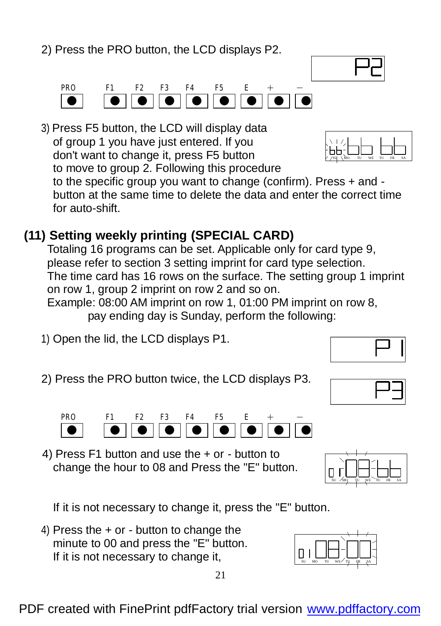2) Press the PRO button, the LCD displays P2.

PRO F1 F2 F3 F4 F5 E + -● ● ● ● ● ● ● ● ●

 3) Press F5 button, the LCD will display data of group 1 you have just entered. If you don't want to change it, press F5 button to move to group 2. Following this procedure to the specific group you want to change (confirm). Press + and - SU MO TU WE TU FR SA

button at the same time to delete the data and enter the correct time for auto-shift.

# **(11) Setting weekly printing (SPECIAL CARD)**

 Totaling 16 programs can be set. Applicable only for card type 9, please refer to section 3 setting imprint for card type selection. The time card has 16 rows on the surface. The setting group 1 imprint on row 1, group 2 imprint on row 2 and so on.

 Example: 08:00 AM imprint on row 1, 01:00 PM imprint on row 8, pay ending day is Sunday, perform the following:

- 1) Open the lid, the LCD displays P1.
- 2) Press the PRO button twice, the LCD displays P3.

change the hour to 08 and Press the "E" button.

If it is not necessary to change it, press the "E" button.

 4) Press the + or - button to change the minute to 00 and press the "E" button. If it is not necessary to change it,













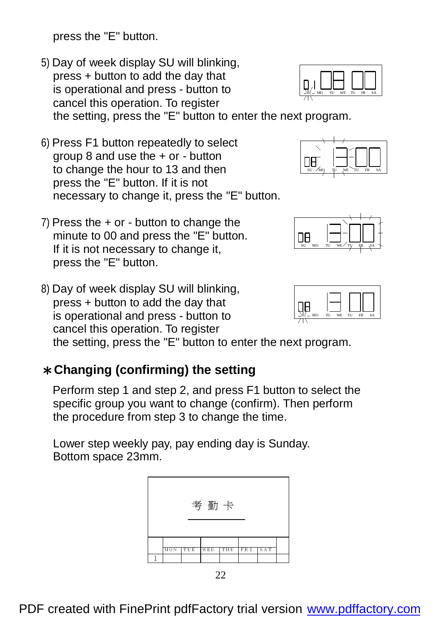press the "E" button.

- 5) Day of week display SU will blinking, press + button to add the day that is operational and press - button to cancel this operation. To register the setting, press the "E" button to enter the next program.
- 6) Press F1 button repeatedly to select group 8 and use the + or - button to change the hour to 13 and then press the "E" button. If it is not necessary to change it, press the "E" button.
- 7) Press the + or button to change the minute to 00 and press the "E" button. If it is not necessary to change it, press the "E" button.
- 8) Day of week display SU will blinking, press + button to add the day that is operational and press - button to cancel this operation. To register the setting, press the "E" button to enter the next program.

#### \***Changing (confirming) the setting**

 Perform step 1 and step 2, and press F1 button to select the specific group you want to change (confirm). Then perform the procedure from step 3 to change the time.

 Lower step weekly pay, pay ending day is Sunday. Bottom space 23mm.











SU MO TU WE TU FR SA

ΠA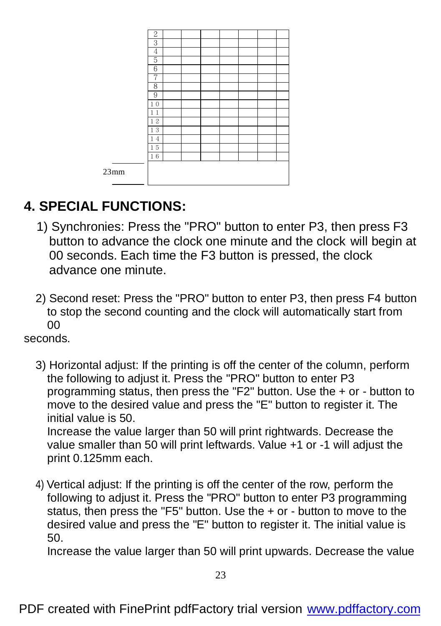|      | 2                            |  |  |  |  |
|------|------------------------------|--|--|--|--|
|      | 3                            |  |  |  |  |
|      | 4                            |  |  |  |  |
|      | 5                            |  |  |  |  |
|      | 6                            |  |  |  |  |
|      | 7                            |  |  |  |  |
|      | 8                            |  |  |  |  |
|      | 9                            |  |  |  |  |
|      | $\mathbf{1}$<br>$\mathbf{0}$ |  |  |  |  |
|      | $\mathbf{1}$<br>1            |  |  |  |  |
|      | 12                           |  |  |  |  |
|      | 13                           |  |  |  |  |
|      | 14                           |  |  |  |  |
|      | 15                           |  |  |  |  |
|      | 16                           |  |  |  |  |
|      |                              |  |  |  |  |
| 23mm |                              |  |  |  |  |
| -    |                              |  |  |  |  |

# **4. SPECIAL FUNCTIONS:**

- 1) Synchronies: Press the "PRO" button to enter P3, then press F3 button to advance the clock one minute and the clock will begin at 00 seconds. Each time the F3 button is pressed, the clock advance one minute.
- 2) Second reset: Press the "PRO" button to enter P3, then press F4 button to stop the second counting and the clock will automatically start from 00

seconds.

- 3) Horizontal adjust: If the printing is off the center of the column, perform the following to adjust it. Press the "PRO" button to enter P3 programming status, then press the "F2" button. Use the + or - button to move to the desired value and press the "E" button to register it. The initial value is 50. Increase the value larger than 50 will print rightwards. Decrease the value smaller than 50 will print leftwards. Value +1 or -1 will adjust the print 0.125mm each.
- 4) Vertical adjust: If the printing is off the center of the row, perform the following to adjust it. Press the "PRO" button to enter P3 programming status, then press the "F5" button. Use the + or - button to move to the desired value and press the "E" button to register it. The initial value is 50.

Increase the value larger than 50 will print upwards. Decrease the value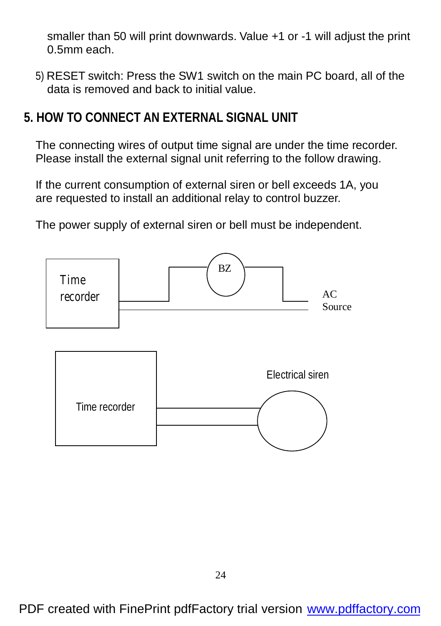smaller than 50 will print downwards. Value +1 or -1 will adjust the print 0.5mm each.

- 5) RESET switch: Press the SW1 switch on the main PC board, all of the data is removed and back to initial value.
- **5. HOW TO CONNECT AN EXTERNAL SIGNAL UNIT**

The connecting wires of output time signal are under the time recorder. Please install the external signal unit referring to the follow drawing.

If the current consumption of external siren or bell exceeds 1A, you are requested to install an additional relay to control buzzer.

The power supply of external siren or bell must be independent.

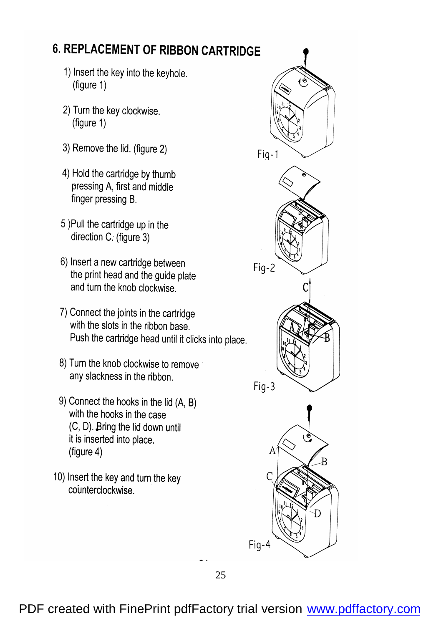## **6. REPLACEMENT OF RIBBON CARTRIDGE**

- 1) Insert the key into the keyhole. (figure 1)
- 2) Turn the key clockwise. (figure 1)
- 3) Remove the lid. (figure 2)
- 4) Hold the cartridge by thumb pressing A, first and middle finger pressing B.
- 5) Pull the cartridge up in the direction C. (figure 3)
- 6) Insert a new cartridge between the print head and the guide plate and turn the knob clockwise
- 7) Connect the joints in the cartridge with the slots in the ribbon base. Push the cartridge head until it clicks into place.
- 8) Turn the knob clockwise to remove any slackness in the ribbon.
- 9) Connect the hooks in the lid (A, B) with the hooks in the case (C, D). Bring the lid down until it is inserted into place. (figure 4)
- 10) Insert the key and turn the key counterclockwise.

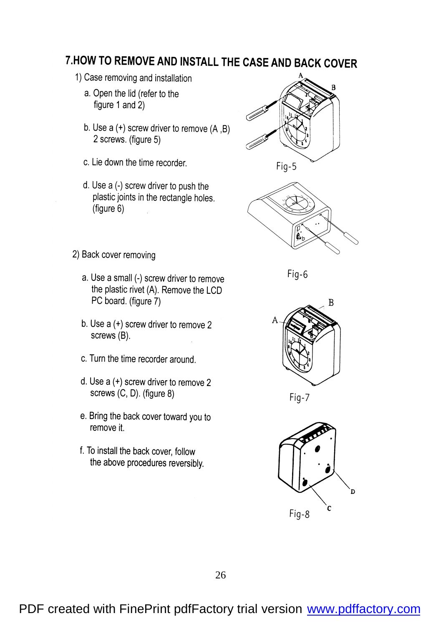### 7. HOW TO REMOVE AND INSTALL THE CASE AND BACK COVER

- 1) Case removing and installation
	- a. Open the lid (refer to the figure 1 and 2)
	- b. Use  $a (+)$  screw driver to remove  $(A,B)$ 2 screws. (figure 5)
	- c. Lie down the time recorder.
	- d. Use a (-) screw driver to push the plastic joints in the rectangle holes. (figure 6)





2) Back cover removing

- a. Use a small (-) screw driver to remove the plastic rivet (A). Remove the LCD PC board. (figure 7)
- b. Use a (+) screw driver to remove 2 screws (B).
- c. Turn the time recorder around.
- d. Use a (+) screw driver to remove 2 screws (C, D). (figure 8)
- e. Bring the back cover toward you to remove it.
- f. To install the back cover, follow the above procedures reversibly.





Fig-7